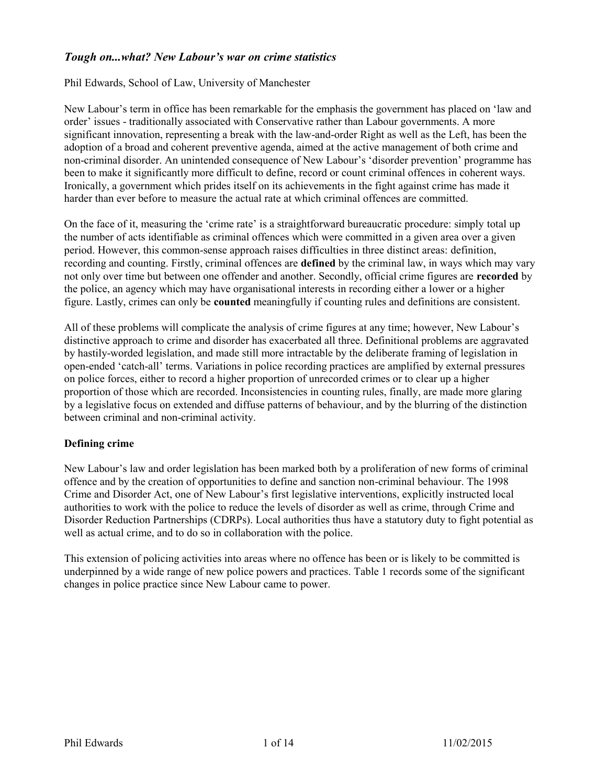# *Tough on...what? New Labour's war on crime statistics*

## Phil Edwards, School of Law, University of Manchester

New Labour's term in office has been remarkable for the emphasis the government has placed on 'law and order' issues - traditionally associated with Conservative rather than Labour governments. A more significant innovation, representing a break with the law-and-order Right as well as the Left, has been the adoption of a broad and coherent preventive agenda, aimed at the active management of both crime and non-criminal disorder. An unintended consequence of New Labour's 'disorder prevention' programme has been to make it significantly more difficult to define, record or count criminal offences in coherent ways. Ironically, a government which prides itself on its achievements in the fight against crime has made it harder than ever before to measure the actual rate at which criminal offences are committed.

On the face of it, measuring the 'crime rate' is a straightforward bureaucratic procedure: simply total up the number of acts identifiable as criminal offences which were committed in a given area over a given period. However, this common-sense approach raises difficulties in three distinct areas: definition, recording and counting. Firstly, criminal offences are **defined** by the criminal law, in ways which may vary not only over time but between one offender and another. Secondly, official crime figures are **recorded** by the police, an agency which may have organisational interests in recording either a lower or a higher figure. Lastly, crimes can only be **counted** meaningfully if counting rules and definitions are consistent.

All of these problems will complicate the analysis of crime figures at any time; however, New Labour's distinctive approach to crime and disorder has exacerbated all three. Definitional problems are aggravated by hastily-worded legislation, and made still more intractable by the deliberate framing of legislation in open-ended 'catch-all' terms. Variations in police recording practices are amplified by external pressures on police forces, either to record a higher proportion of unrecorded crimes or to clear up a higher proportion of those which are recorded. Inconsistencies in counting rules, finally, are made more glaring by a legislative focus on extended and diffuse patterns of behaviour, and by the blurring of the distinction between criminal and non-criminal activity.

#### **Defining crime**

New Labour's law and order legislation has been marked both by a proliferation of new forms of criminal offence and by the creation of opportunities to define and sanction non-criminal behaviour. The 1998 Crime and Disorder Act, one of New Labour's first legislative interventions, explicitly instructed local authorities to work with the police to reduce the levels of disorder as well as crime, through Crime and Disorder Reduction Partnerships (CDRPs). Local authorities thus have a statutory duty to fight potential as well as actual crime, and to do so in collaboration with the police.

This extension of policing activities into areas where no offence has been or is likely to be committed is underpinned by a wide range of new police powers and practices. Table 1 records some of the significant changes in police practice since New Labour came to power.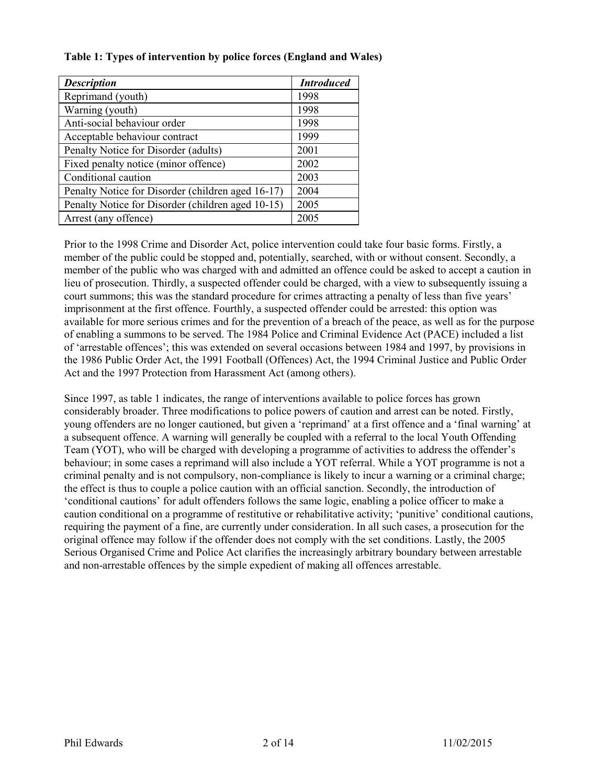## **Table 1: Types of intervention by police forces (England and Wales)**

| <b>Description</b>                                | <b>Introduced</b> |
|---------------------------------------------------|-------------------|
| Reprimand (youth)                                 | 1998              |
| Warning (youth)                                   | 1998              |
| Anti-social behaviour order                       | 1998              |
| Acceptable behaviour contract                     | 1999              |
| Penalty Notice for Disorder (adults)              | 2001              |
| Fixed penalty notice (minor offence)              | 2002              |
| Conditional caution                               | 2003              |
| Penalty Notice for Disorder (children aged 16-17) | 2004              |
| Penalty Notice for Disorder (children aged 10-15) | 2005              |
| Arrest (any offence)                              | 2005              |

Prior to the 1998 Crime and Disorder Act, police intervention could take four basic forms. Firstly, a member of the public could be stopped and, potentially, searched, with or without consent. Secondly, a member of the public who was charged with and admitted an offence could be asked to accept a caution in lieu of prosecution. Thirdly, a suspected offender could be charged, with a view to subsequently issuing a court summons; this was the standard procedure for crimes attracting a penalty of less than five years' imprisonment at the first offence. Fourthly, a suspected offender could be arrested: this option was available for more serious crimes and for the prevention of a breach of the peace, as well as for the purpose of enabling a summons to be served. The 1984 Police and Criminal Evidence Act (PACE) included a list of 'arrestable offences'; this was extended on several occasions between 1984 and 1997, by provisions in the 1986 Public Order Act, the 1991 Football (Offences) Act, the 1994 Criminal Justice and Public Order Act and the 1997 Protection from Harassment Act (among others).

Since 1997, as table 1 indicates, the range of interventions available to police forces has grown considerably broader. Three modifications to police powers of caution and arrest can be noted. Firstly, young offenders are no longer cautioned, but given a 'reprimand' at a first offence and a 'final warning' at a subsequent offence. A warning will generally be coupled with a referral to the local Youth Offending Team (YOT), who will be charged with developing a programme of activities to address the offender's behaviour; in some cases a reprimand will also include a YOT referral. While a YOT programme is not a criminal penalty and is not compulsory, non-compliance is likely to incur a warning or a criminal charge; the effect is thus to couple a police caution with an official sanction. Secondly, the introduction of 'conditional cautions' for adult offenders follows the same logic, enabling a police officer to make a caution conditional on a programme of restitutive or rehabilitative activity; 'punitive' conditional cautions, requiring the payment of a fine, are currently under consideration. In all such cases, a prosecution for the original offence may follow if the offender does not comply with the set conditions. Lastly, the 2005 Serious Organised Crime and Police Act clarifies the increasingly arbitrary boundary between arrestable and non-arrestable offences by the simple expedient of making all offences arrestable.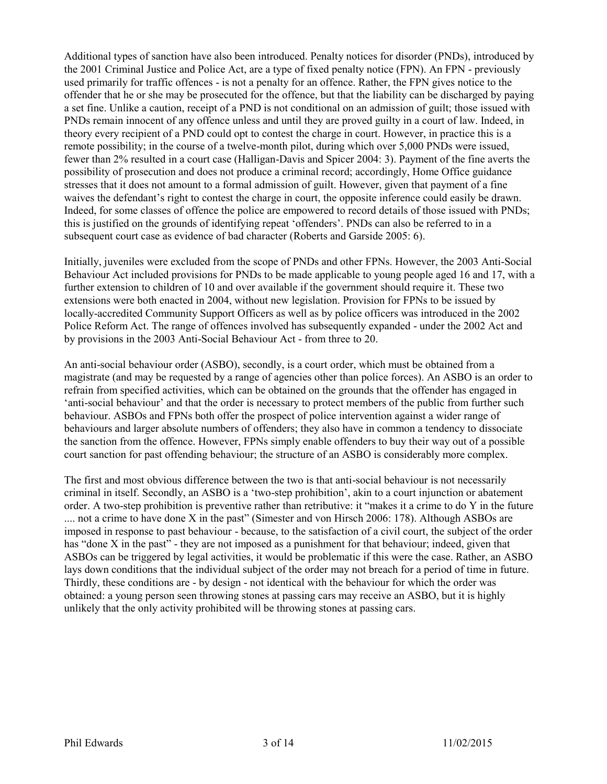Additional types of sanction have also been introduced. Penalty notices for disorder (PNDs), introduced by the 2001 Criminal Justice and Police Act, are a type of fixed penalty notice (FPN). An FPN - previously used primarily for traffic offences - is not a penalty for an offence. Rather, the FPN gives notice to the offender that he or she may be prosecuted for the offence, but that the liability can be discharged by paying a set fine. Unlike a caution, receipt of a PND is not conditional on an admission of guilt; those issued with PNDs remain innocent of any offence unless and until they are proved guilty in a court of law. Indeed, in theory every recipient of a PND could opt to contest the charge in court. However, in practice this is a remote possibility; in the course of a twelve-month pilot, during which over 5,000 PNDs were issued, fewer than 2% resulted in a court case (Halligan-Davis and Spicer 2004: 3). Payment of the fine averts the possibility of prosecution and does not produce a criminal record; accordingly, Home Office guidance stresses that it does not amount to a formal admission of guilt. However, given that payment of a fine waives the defendant's right to contest the charge in court, the opposite inference could easily be drawn. Indeed, for some classes of offence the police are empowered to record details of those issued with PNDs; this is justified on the grounds of identifying repeat 'offenders'. PNDs can also be referred to in a subsequent court case as evidence of bad character (Roberts and Garside 2005: 6).

Initially, juveniles were excluded from the scope of PNDs and other FPNs. However, the 2003 Anti-Social Behaviour Act included provisions for PNDs to be made applicable to young people aged 16 and 17, with a further extension to children of 10 and over available if the government should require it. These two extensions were both enacted in 2004, without new legislation. Provision for FPNs to be issued by locally-accredited Community Support Officers as well as by police officers was introduced in the 2002 Police Reform Act. The range of offences involved has subsequently expanded - under the 2002 Act and by provisions in the 2003 Anti-Social Behaviour Act - from three to 20.

An anti-social behaviour order (ASBO), secondly, is a court order, which must be obtained from a magistrate (and may be requested by a range of agencies other than police forces). An ASBO is an order to refrain from specified activities, which can be obtained on the grounds that the offender has engaged in 'anti-social behaviour' and that the order is necessary to protect members of the public from further such behaviour. ASBOs and FPNs both offer the prospect of police intervention against a wider range of behaviours and larger absolute numbers of offenders; they also have in common a tendency to dissociate the sanction from the offence. However, FPNs simply enable offenders to buy their way out of a possible court sanction for past offending behaviour; the structure of an ASBO is considerably more complex.

The first and most obvious difference between the two is that anti-social behaviour is not necessarily criminal in itself. Secondly, an ASBO is a 'two-step prohibition', akin to a court injunction or abatement order. A two-step prohibition is preventive rather than retributive: it "makes it a crime to do Y in the future .... not a crime to have done X in the past" (Simester and von Hirsch 2006: 178). Although ASBOs are imposed in response to past behaviour - because, to the satisfaction of a civil court, the subject of the order has "done X in the past" - they are not imposed as a punishment for that behaviour; indeed, given that ASBOs can be triggered by legal activities, it would be problematic if this were the case. Rather, an ASBO lays down conditions that the individual subject of the order may not breach for a period of time in future. Thirdly, these conditions are - by design - not identical with the behaviour for which the order was obtained: a young person seen throwing stones at passing cars may receive an ASBO, but it is highly unlikely that the only activity prohibited will be throwing stones at passing cars.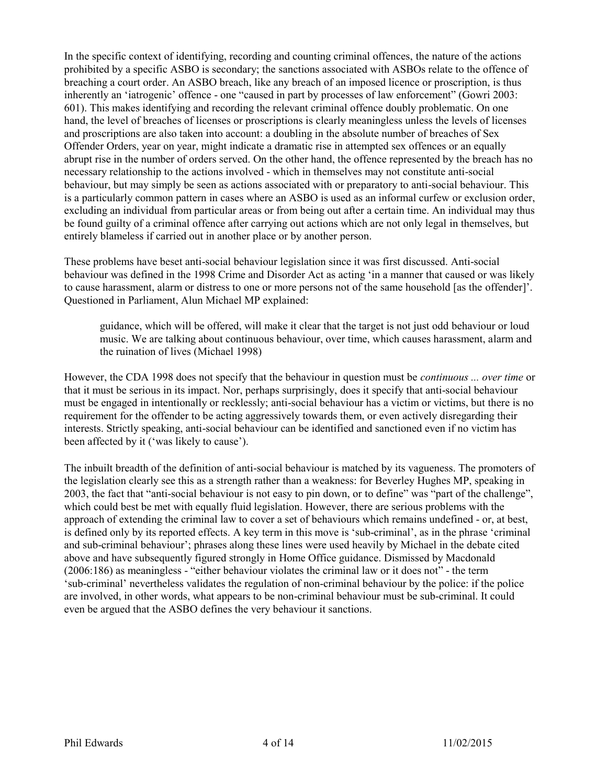In the specific context of identifying, recording and counting criminal offences, the nature of the actions prohibited by a specific ASBO is secondary; the sanctions associated with ASBOs relate to the offence of breaching a court order. An ASBO breach, like any breach of an imposed licence or proscription, is thus inherently an 'iatrogenic' offence - one "caused in part by processes of law enforcement" (Gowri 2003: 601). This makes identifying and recording the relevant criminal offence doubly problematic. On one hand, the level of breaches of licenses or proscriptions is clearly meaningless unless the levels of licenses and proscriptions are also taken into account: a doubling in the absolute number of breaches of Sex Offender Orders, year on year, might indicate a dramatic rise in attempted sex offences or an equally abrupt rise in the number of orders served. On the other hand, the offence represented by the breach has no necessary relationship to the actions involved - which in themselves may not constitute anti-social behaviour, but may simply be seen as actions associated with or preparatory to anti-social behaviour. This is a particularly common pattern in cases where an ASBO is used as an informal curfew or exclusion order, excluding an individual from particular areas or from being out after a certain time. An individual may thus be found guilty of a criminal offence after carrying out actions which are not only legal in themselves, but entirely blameless if carried out in another place or by another person.

These problems have beset anti-social behaviour legislation since it was first discussed. Anti-social behaviour was defined in the 1998 Crime and Disorder Act as acting 'in a manner that caused or was likely to cause harassment, alarm or distress to one or more persons not of the same household [as the offender]'. Questioned in Parliament, Alun Michael MP explained:

guidance, which will be offered, will make it clear that the target is not just odd behaviour or loud music. We are talking about continuous behaviour, over time, which causes harassment, alarm and the ruination of lives (Michael 1998)

However, the CDA 1998 does not specify that the behaviour in question must be *continuous ... over time* or that it must be serious in its impact. Nor, perhaps surprisingly, does it specify that anti-social behaviour must be engaged in intentionally or recklessly; anti-social behaviour has a victim or victims, but there is no requirement for the offender to be acting aggressively towards them, or even actively disregarding their interests. Strictly speaking, anti-social behaviour can be identified and sanctioned even if no victim has been affected by it ('was likely to cause').

The inbuilt breadth of the definition of anti-social behaviour is matched by its vagueness. The promoters of the legislation clearly see this as a strength rather than a weakness: for Beverley Hughes MP, speaking in 2003, the fact that "anti-social behaviour is not easy to pin down, or to define" was "part of the challenge", which could best be met with equally fluid legislation. However, there are serious problems with the approach of extending the criminal law to cover a set of behaviours which remains undefined - or, at best, is defined only by its reported effects. A key term in this move is 'sub-criminal', as in the phrase 'criminal and sub-criminal behaviour'; phrases along these lines were used heavily by Michael in the debate cited above and have subsequently figured strongly in Home Office guidance. Dismissed by Macdonald (2006:186) as meaningless - "either behaviour violates the criminal law or it does not" - the term 'sub-criminal' nevertheless validates the regulation of non-criminal behaviour by the police: if the police are involved, in other words, what appears to be non-criminal behaviour must be sub-criminal. It could even be argued that the ASBO defines the very behaviour it sanctions.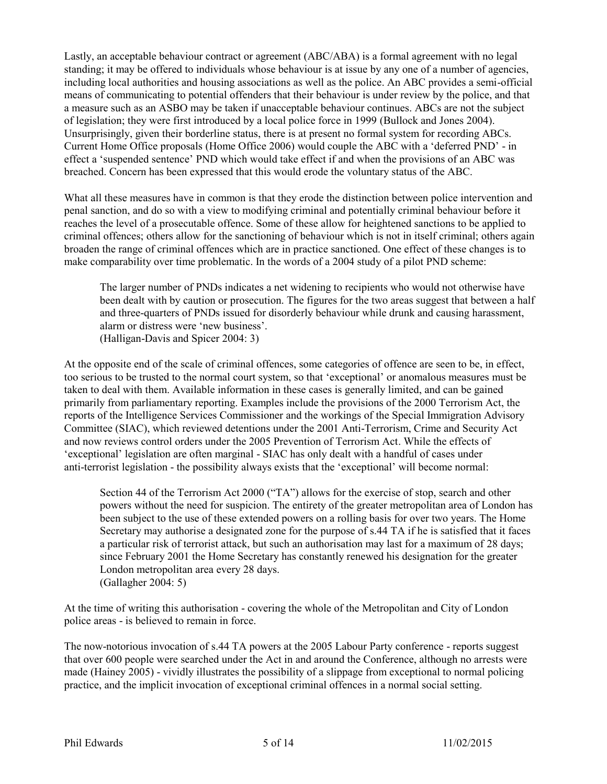Lastly, an acceptable behaviour contract or agreement (ABC/ABA) is a formal agreement with no legal standing; it may be offered to individuals whose behaviour is at issue by any one of a number of agencies, including local authorities and housing associations as well as the police. An ABC provides a semi-official means of communicating to potential offenders that their behaviour is under review by the police, and that a measure such as an ASBO may be taken if unacceptable behaviour continues. ABCs are not the subject of legislation; they were first introduced by a local police force in 1999 (Bullock and Jones 2004). Unsurprisingly, given their borderline status, there is at present no formal system for recording ABCs. Current Home Office proposals (Home Office 2006) would couple the ABC with a 'deferred PND' - in effect a 'suspended sentence' PND which would take effect if and when the provisions of an ABC was breached. Concern has been expressed that this would erode the voluntary status of the ABC.

What all these measures have in common is that they erode the distinction between police intervention and penal sanction, and do so with a view to modifying criminal and potentially criminal behaviour before it reaches the level of a prosecutable offence. Some of these allow for heightened sanctions to be applied to criminal offences; others allow for the sanctioning of behaviour which is not in itself criminal; others again broaden the range of criminal offences which are in practice sanctioned. One effect of these changes is to make comparability over time problematic. In the words of a 2004 study of a pilot PND scheme:

The larger number of PNDs indicates a net widening to recipients who would not otherwise have been dealt with by caution or prosecution. The figures for the two areas suggest that between a half and three-quarters of PNDs issued for disorderly behaviour while drunk and causing harassment, alarm or distress were 'new business'. (Halligan-Davis and Spicer 2004: 3)

At the opposite end of the scale of criminal offences, some categories of offence are seen to be, in effect, too serious to be trusted to the normal court system, so that 'exceptional' or anomalous measures must be taken to deal with them. Available information in these cases is generally limited, and can be gained primarily from parliamentary reporting. Examples include the provisions of the 2000 Terrorism Act, the reports of the Intelligence Services Commissioner and the workings of the Special Immigration Advisory Committee (SIAC), which reviewed detentions under the 2001 Anti-Terrorism, Crime and Security Act and now reviews control orders under the 2005 Prevention of Terrorism Act. While the effects of 'exceptional' legislation are often marginal - SIAC has only dealt with a handful of cases under anti-terrorist legislation - the possibility always exists that the 'exceptional' will become normal:

Section 44 of the Terrorism Act 2000 ("TA") allows for the exercise of stop, search and other powers without the need for suspicion. The entirety of the greater metropolitan area of London has been subject to the use of these extended powers on a rolling basis for over two years. The Home Secretary may authorise a designated zone for the purpose of s.44 TA if he is satisfied that it faces a particular risk of terrorist attack, but such an authorisation may last for a maximum of 28 days; since February 2001 the Home Secretary has constantly renewed his designation for the greater London metropolitan area every 28 days. (Gallagher 2004: 5)

At the time of writing this authorisation - covering the whole of the Metropolitan and City of London police areas - is believed to remain in force.

The now-notorious invocation of s.44 TA powers at the 2005 Labour Party conference - reports suggest that over 600 people were searched under the Act in and around the Conference, although no arrests were made (Hainey 2005) - vividly illustrates the possibility of a slippage from exceptional to normal policing practice, and the implicit invocation of exceptional criminal offences in a normal social setting.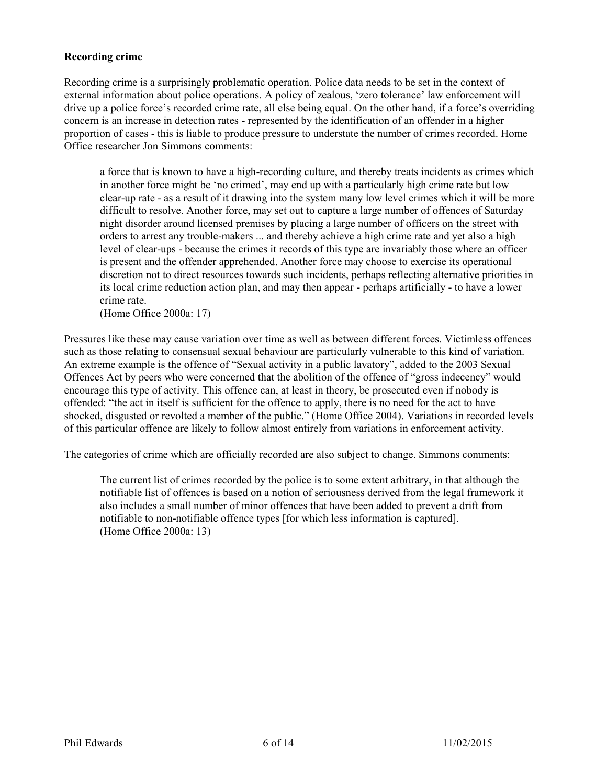### **Recording crime**

Recording crime is a surprisingly problematic operation. Police data needs to be set in the context of external information about police operations. A policy of zealous, 'zero tolerance' law enforcement will drive up a police force's recorded crime rate, all else being equal. On the other hand, if a force's overriding concern is an increase in detection rates - represented by the identification of an offender in a higher proportion of cases - this is liable to produce pressure to understate the number of crimes recorded. Home Office researcher Jon Simmons comments:

a force that is known to have a high-recording culture, and thereby treats incidents as crimes which in another force might be 'no crimed', may end up with a particularly high crime rate but low clear-up rate - as a result of it drawing into the system many low level crimes which it will be more difficult to resolve. Another force, may set out to capture a large number of offences of Saturday night disorder around licensed premises by placing a large number of officers on the street with orders to arrest any trouble-makers ... and thereby achieve a high crime rate and yet also a high level of clear-ups - because the crimes it records of this type are invariably those where an officer is present and the offender apprehended. Another force may choose to exercise its operational discretion not to direct resources towards such incidents, perhaps reflecting alternative priorities in its local crime reduction action plan, and may then appear - perhaps artificially - to have a lower crime rate.

(Home Office 2000a: 17)

Pressures like these may cause variation over time as well as between different forces. Victimless offences such as those relating to consensual sexual behaviour are particularly vulnerable to this kind of variation. An extreme example is the offence of "Sexual activity in a public lavatory", added to the 2003 Sexual Offences Act by peers who were concerned that the abolition of the offence of "gross indecency" would encourage this type of activity. This offence can, at least in theory, be prosecuted even if nobody is offended: "the act in itself is sufficient for the offence to apply, there is no need for the act to have shocked, disgusted or revolted a member of the public." (Home Office 2004). Variations in recorded levels of this particular offence are likely to follow almost entirely from variations in enforcement activity.

The categories of crime which are officially recorded are also subject to change. Simmons comments:

The current list of crimes recorded by the police is to some extent arbitrary, in that although the notifiable list of offences is based on a notion of seriousness derived from the legal framework it also includes a small number of minor offences that have been added to prevent a drift from notifiable to non-notifiable offence types [for which less information is captured]. (Home Office 2000a: 13)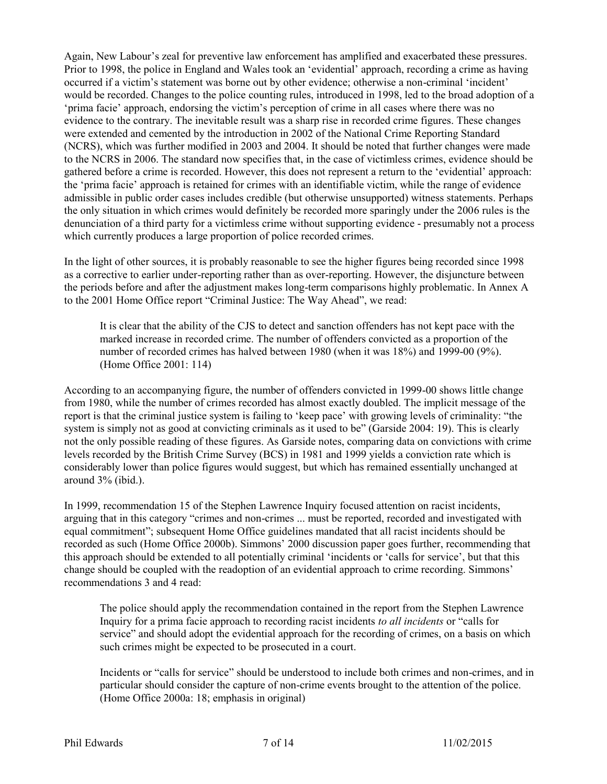Again, New Labour's zeal for preventive law enforcement has amplified and exacerbated these pressures. Prior to 1998, the police in England and Wales took an 'evidential' approach, recording a crime as having occurred if a victim's statement was borne out by other evidence; otherwise a non-criminal 'incident' would be recorded. Changes to the police counting rules, introduced in 1998, led to the broad adoption of a 'prima facie' approach, endorsing the victim's perception of crime in all cases where there was no evidence to the contrary. The inevitable result was a sharp rise in recorded crime figures. These changes were extended and cemented by the introduction in 2002 of the National Crime Reporting Standard (NCRS), which was further modified in 2003 and 2004. It should be noted that further changes were made to the NCRS in 2006. The standard now specifies that, in the case of victimless crimes, evidence should be gathered before a crime is recorded. However, this does not represent a return to the 'evidential' approach: the 'prima facie' approach is retained for crimes with an identifiable victim, while the range of evidence admissible in public order cases includes credible (but otherwise unsupported) witness statements. Perhaps the only situation in which crimes would definitely be recorded more sparingly under the 2006 rules is the denunciation of a third party for a victimless crime without supporting evidence - presumably not a process which currently produces a large proportion of police recorded crimes.

In the light of other sources, it is probably reasonable to see the higher figures being recorded since 1998 as a corrective to earlier under-reporting rather than as over-reporting. However, the disjuncture between the periods before and after the adjustment makes long-term comparisons highly problematic. In Annex A to the 2001 Home Office report "Criminal Justice: The Way Ahead", we read:

It is clear that the ability of the CJS to detect and sanction offenders has not kept pace with the marked increase in recorded crime. The number of offenders convicted as a proportion of the number of recorded crimes has halved between 1980 (when it was 18%) and 1999-00 (9%). (Home Office 2001: 114)

According to an accompanying figure, the number of offenders convicted in 1999-00 shows little change from 1980, while the number of crimes recorded has almost exactly doubled. The implicit message of the report is that the criminal justice system is failing to 'keep pace' with growing levels of criminality: "the system is simply not as good at convicting criminals as it used to be" (Garside 2004: 19). This is clearly not the only possible reading of these figures. As Garside notes, comparing data on convictions with crime levels recorded by the British Crime Survey (BCS) in 1981 and 1999 yields a conviction rate which is considerably lower than police figures would suggest, but which has remained essentially unchanged at around 3% (ibid.).

In 1999, recommendation 15 of the Stephen Lawrence Inquiry focused attention on racist incidents, arguing that in this category "crimes and non-crimes ... must be reported, recorded and investigated with equal commitment"; subsequent Home Office guidelines mandated that all racist incidents should be recorded as such (Home Office 2000b). Simmons' 2000 discussion paper goes further, recommending that this approach should be extended to all potentially criminal 'incidents or 'calls for service', but that this change should be coupled with the readoption of an evidential approach to crime recording. Simmons' recommendations 3 and 4 read:

The police should apply the recommendation contained in the report from the Stephen Lawrence Inquiry for a prima facie approach to recording racist incidents *to all incidents* or "calls for service" and should adopt the evidential approach for the recording of crimes, on a basis on which such crimes might be expected to be prosecuted in a court.

Incidents or "calls for service" should be understood to include both crimes and non-crimes, and in particular should consider the capture of non-crime events brought to the attention of the police. (Home Office 2000a: 18; emphasis in original)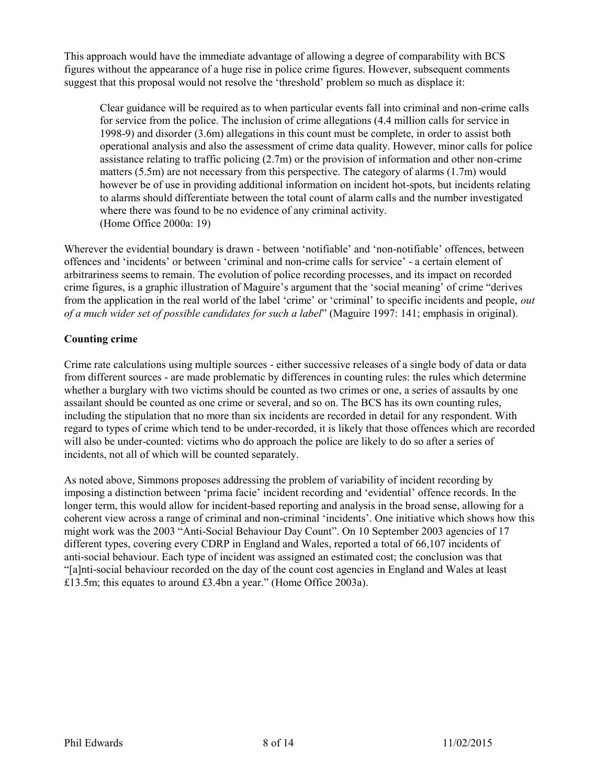This approach would have the immediate advantage of allowing a degree of comparability with BCS figures without the appearance of a huge rise in police crime figures. However, subsequent comments suggest that this proposal would not resolve the 'threshold' problem so much as displace it:

Clear guidance will be required as to when particular events fall into criminal and non-crime calls for service from the police. The inclusion of crime allegations (4.4 million calls for service in 1998-9) and disorder (3.6m) allegations in this count must be complete, in order to assist both operational analysis and also the assessment of crime data quality. However, minor calls for police assistance relating to traffic policing (2.7m) or the provision of information and other non-crime matters (5.5m) are not necessary from this perspective. The category of alarms (1.7m) would however be of use in providing additional information on incident hot-spots, but incidents relating to alarms should differentiate between the total count of alarm calls and the number investigated where there was found to be no evidence of any criminal activity. (Home Office 2000a: 19)

Wherever the evidential boundary is drawn - between 'notifiable' and 'non-notifiable' offences, between offences and 'incidents' or between 'criminal and non-crime calls for service' - a certain element of arbitrariness seems to remain. The evolution of police recording processes, and its impact on recorded crime figures, is a graphic illustration of Maguire's argument that the 'social meaning' of crime "derives from the application in the real world of the label 'crime' or 'criminal' to specific incidents and people, *out of a much wider set of possible candidates for such a label*" (Maguire 1997: 141; emphasis in original).

# **Counting crime**

Crime rate calculations using multiple sources - either successive releases of a single body of data or data from different sources - are made problematic by differences in counting rules: the rules which determine whether a burglary with two victims should be counted as two crimes or one, a series of assaults by one assailant should be counted as one crime or several, and so on. The BCS has its own counting rules, including the stipulation that no more than six incidents are recorded in detail for any respondent. With regard to types of crime which tend to be under-recorded, it is likely that those offences which are recorded will also be under-counted: victims who do approach the police are likely to do so after a series of incidents, not all of which will be counted separately.

As noted above, Simmons proposes addressing the problem of variability of incident recording by imposing a distinction between 'prima facie' incident recording and 'evidential' offence records. In the longer term, this would allow for incident-based reporting and analysis in the broad sense, allowing for a coherent view across a range of criminal and non-criminal 'incidents'. One initiative which shows how this might work was the 2003 "Anti-Social Behaviour Day Count". On 10 September 2003 agencies of 17 different types, covering every CDRP in England and Wales, reported a total of 66,107 incidents of anti-social behaviour. Each type of incident was assigned an estimated cost; the conclusion was that "[a]nti-social behaviour recorded on the day of the count cost agencies in England and Wales at least £13.5m; this equates to around £3.4bn a year." (Home Office 2003a).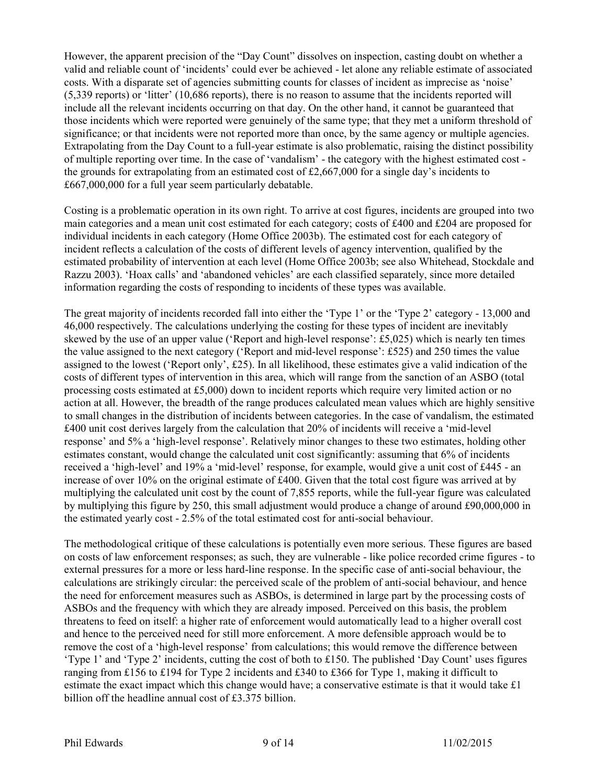However, the apparent precision of the "Day Count" dissolves on inspection, casting doubt on whether a valid and reliable count of 'incidents' could ever be achieved - let alone any reliable estimate of associated costs. With a disparate set of agencies submitting counts for classes of incident as imprecise as 'noise' (5,339 reports) or 'litter' (10,686 reports), there is no reason to assume that the incidents reported will include all the relevant incidents occurring on that day. On the other hand, it cannot be guaranteed that those incidents which were reported were genuinely of the same type; that they met a uniform threshold of significance; or that incidents were not reported more than once, by the same agency or multiple agencies. Extrapolating from the Day Count to a full-year estimate is also problematic, raising the distinct possibility of multiple reporting over time. In the case of 'vandalism' - the category with the highest estimated cost the grounds for extrapolating from an estimated cost of  $\text{\pounds}2,667,000$  for a single day's incidents to £667,000,000 for a full year seem particularly debatable.

Costing is a problematic operation in its own right. To arrive at cost figures, incidents are grouped into two main categories and a mean unit cost estimated for each category; costs of £400 and £204 are proposed for individual incidents in each category (Home Office 2003b). The estimated cost for each category of incident reflects a calculation of the costs of different levels of agency intervention, qualified by the estimated probability of intervention at each level (Home Office 2003b; see also Whitehead, Stockdale and Razzu 2003). 'Hoax calls' and 'abandoned vehicles' are each classified separately, since more detailed information regarding the costs of responding to incidents of these types was available.

The great majority of incidents recorded fall into either the 'Type 1' or the 'Type 2' category - 13,000 and 46,000 respectively. The calculations underlying the costing for these types of incident are inevitably skewed by the use of an upper value ('Report and high-level response': £5,025) which is nearly ten times the value assigned to the next category ('Report and mid-level response': £525) and 250 times the value assigned to the lowest ('Report only', £25). In all likelihood, these estimates give a valid indication of the costs of different types of intervention in this area, which will range from the sanction of an ASBO (total processing costs estimated at £5,000) down to incident reports which require very limited action or no action at all. However, the breadth of the range produces calculated mean values which are highly sensitive to small changes in the distribution of incidents between categories. In the case of vandalism, the estimated £400 unit cost derives largely from the calculation that 20% of incidents will receive a 'mid-level response' and 5% a 'high-level response'. Relatively minor changes to these two estimates, holding other estimates constant, would change the calculated unit cost significantly: assuming that 6% of incidents received a 'high-level' and 19% a 'mid-level' response, for example, would give a unit cost of £445 - an increase of over 10% on the original estimate of £400. Given that the total cost figure was arrived at by multiplying the calculated unit cost by the count of 7,855 reports, while the full-year figure was calculated by multiplying this figure by 250, this small adjustment would produce a change of around £90,000,000 in the estimated yearly cost - 2.5% of the total estimated cost for anti-social behaviour.

The methodological critique of these calculations is potentially even more serious. These figures are based on costs of law enforcement responses; as such, they are vulnerable - like police recorded crime figures - to external pressures for a more or less hard-line response. In the specific case of anti-social behaviour, the calculations are strikingly circular: the perceived scale of the problem of anti-social behaviour, and hence the need for enforcement measures such as ASBOs, is determined in large part by the processing costs of ASBOs and the frequency with which they are already imposed. Perceived on this basis, the problem threatens to feed on itself: a higher rate of enforcement would automatically lead to a higher overall cost and hence to the perceived need for still more enforcement. A more defensible approach would be to remove the cost of a 'high-level response' from calculations; this would remove the difference between 'Type 1' and 'Type 2' incidents, cutting the cost of both to £150. The published 'Day Count' uses figures ranging from £156 to £194 for Type 2 incidents and £340 to £366 for Type 1, making it difficult to estimate the exact impact which this change would have; a conservative estimate is that it would take £1 billion off the headline annual cost of £3.375 billion.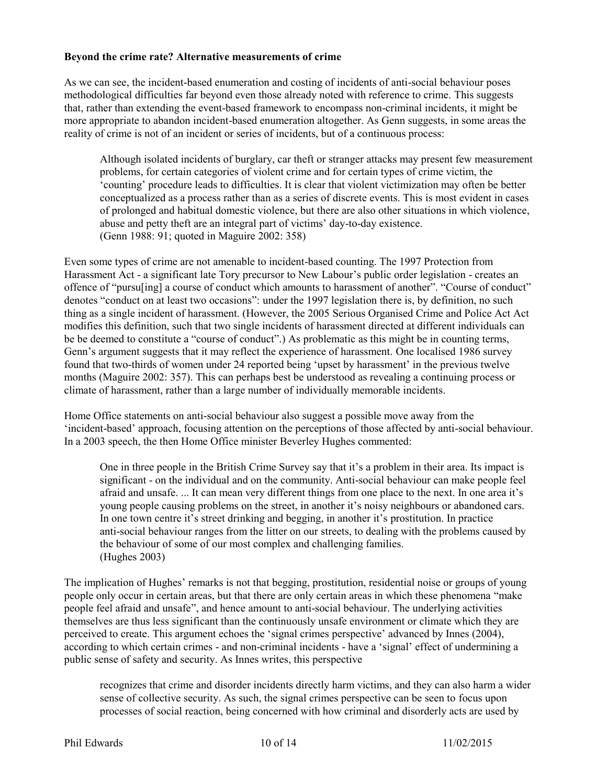#### **Beyond the crime rate? Alternative measurements of crime**

As we can see, the incident-based enumeration and costing of incidents of anti-social behaviour poses methodological difficulties far beyond even those already noted with reference to crime. This suggests that, rather than extending the event-based framework to encompass non-criminal incidents, it might be more appropriate to abandon incident-based enumeration altogether. As Genn suggests, in some areas the reality of crime is not of an incident or series of incidents, but of a continuous process:

Although isolated incidents of burglary, car theft or stranger attacks may present few measurement problems, for certain categories of violent crime and for certain types of crime victim, the 'counting' procedure leads to difficulties. It is clear that violent victimization may often be better conceptualized as a process rather than as a series of discrete events. This is most evident in cases of prolonged and habitual domestic violence, but there are also other situations in which violence, abuse and petty theft are an integral part of victims' day-to-day existence. (Genn 1988: 91; quoted in Maguire 2002: 358)

Even some types of crime are not amenable to incident-based counting. The 1997 Protection from Harassment Act - a significant late Tory precursor to New Labour's public order legislation - creates an offence of "pursu[ing] a course of conduct which amounts to harassment of another". "Course of conduct" denotes "conduct on at least two occasions": under the 1997 legislation there is, by definition, no such thing as a single incident of harassment. (However, the 2005 Serious Organised Crime and Police Act Act modifies this definition, such that two single incidents of harassment directed at different individuals can be be deemed to constitute a "course of conduct".) As problematic as this might be in counting terms, Genn's argument suggests that it may reflect the experience of harassment. One localised 1986 survey found that two-thirds of women under 24 reported being 'upset by harassment' in the previous twelve months (Maguire 2002: 357). This can perhaps best be understood as revealing a continuing process or climate of harassment, rather than a large number of individually memorable incidents.

Home Office statements on anti-social behaviour also suggest a possible move away from the 'incident-based' approach, focusing attention on the perceptions of those affected by anti-social behaviour. In a 2003 speech, the then Home Office minister Beverley Hughes commented:

One in three people in the British Crime Survey say that it's a problem in their area. Its impact is significant - on the individual and on the community. Anti-social behaviour can make people feel afraid and unsafe. ... It can mean very different things from one place to the next. In one area it's young people causing problems on the street, in another it's noisy neighbours or abandoned cars. In one town centre it's street drinking and begging, in another it's prostitution. In practice anti-social behaviour ranges from the litter on our streets, to dealing with the problems caused by the behaviour of some of our most complex and challenging families. (Hughes 2003)

The implication of Hughes' remarks is not that begging, prostitution, residential noise or groups of young people only occur in certain areas, but that there are only certain areas in which these phenomena "make people feel afraid and unsafe", and hence amount to anti-social behaviour. The underlying activities themselves are thus less significant than the continuously unsafe environment or climate which they are perceived to create. This argument echoes the 'signal crimes perspective' advanced by Innes (2004), according to which certain crimes - and non-criminal incidents - have a 'signal' effect of undermining a public sense of safety and security. As Innes writes, this perspective

recognizes that crime and disorder incidents directly harm victims, and they can also harm a wider sense of collective security. As such, the signal crimes perspective can be seen to focus upon processes of social reaction, being concerned with how criminal and disorderly acts are used by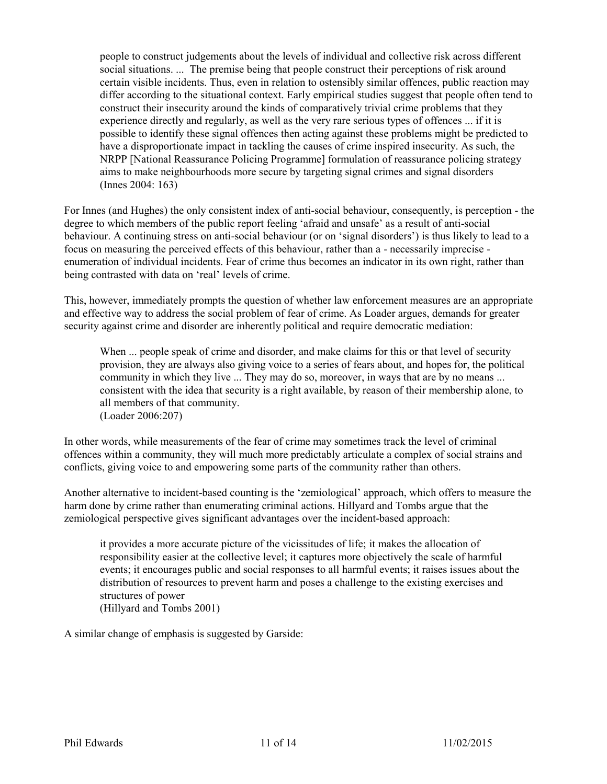people to construct judgements about the levels of individual and collective risk across different social situations. ... The premise being that people construct their perceptions of risk around certain visible incidents. Thus, even in relation to ostensibly similar offences, public reaction may differ according to the situational context. Early empirical studies suggest that people often tend to construct their insecurity around the kinds of comparatively trivial crime problems that they experience directly and regularly, as well as the very rare serious types of offences ... if it is possible to identify these signal offences then acting against these problems might be predicted to have a disproportionate impact in tackling the causes of crime inspired insecurity. As such, the NRPP [National Reassurance Policing Programme] formulation of reassurance policing strategy aims to make neighbourhoods more secure by targeting signal crimes and signal disorders (Innes 2004: 163)

For Innes (and Hughes) the only consistent index of anti-social behaviour, consequently, is perception - the degree to which members of the public report feeling 'afraid and unsafe' as a result of anti-social behaviour. A continuing stress on anti-social behaviour (or on 'signal disorders') is thus likely to lead to a focus on measuring the perceived effects of this behaviour, rather than a - necessarily imprecise enumeration of individual incidents. Fear of crime thus becomes an indicator in its own right, rather than being contrasted with data on 'real' levels of crime.

This, however, immediately prompts the question of whether law enforcement measures are an appropriate and effective way to address the social problem of fear of crime. As Loader argues, demands for greater security against crime and disorder are inherently political and require democratic mediation:

When ... people speak of crime and disorder, and make claims for this or that level of security provision, they are always also giving voice to a series of fears about, and hopes for, the political community in which they live ... They may do so, moreover, in ways that are by no means ... consistent with the idea that security is a right available, by reason of their membership alone, to all members of that community. (Loader 2006:207)

In other words, while measurements of the fear of crime may sometimes track the level of criminal offences within a community, they will much more predictably articulate a complex of social strains and conflicts, giving voice to and empowering some parts of the community rather than others.

Another alternative to incident-based counting is the 'zemiological' approach, which offers to measure the harm done by crime rather than enumerating criminal actions. Hillyard and Tombs argue that the zemiological perspective gives significant advantages over the incident-based approach:

it provides a more accurate picture of the vicissitudes of life; it makes the allocation of responsibility easier at the collective level; it captures more objectively the scale of harmful events; it encourages public and social responses to all harmful events; it raises issues about the distribution of resources to prevent harm and poses a challenge to the existing exercises and structures of power (Hillyard and Tombs 2001)

A similar change of emphasis is suggested by Garside: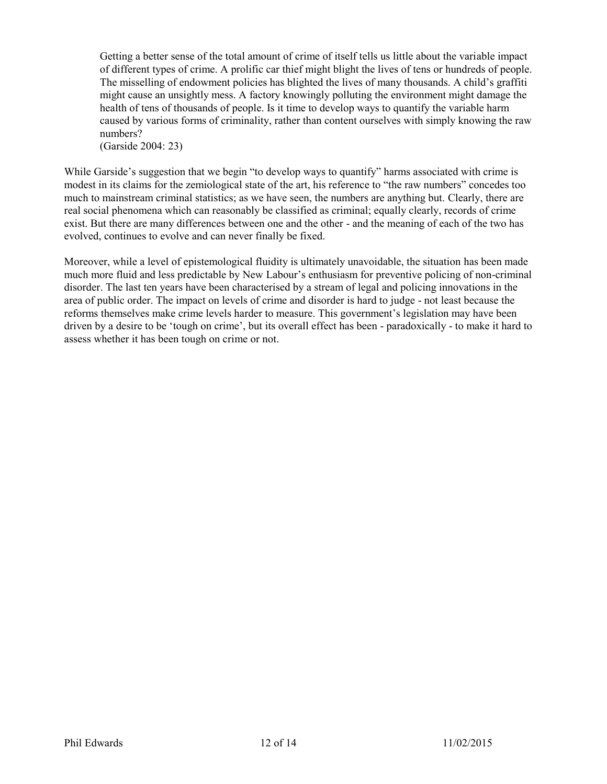Getting a better sense of the total amount of crime of itself tells us little about the variable impact of different types of crime. A prolific car thief might blight the lives of tens or hundreds of people. The misselling of endowment policies has blighted the lives of many thousands. A child's graffiti might cause an unsightly mess. A factory knowingly polluting the environment might damage the health of tens of thousands of people. Is it time to develop ways to quantify the variable harm caused by various forms of criminality, rather than content ourselves with simply knowing the raw numbers?

(Garside 2004: 23)

While Garside's suggestion that we begin "to develop ways to quantify" harms associated with crime is modest in its claims for the zemiological state of the art, his reference to "the raw numbers" concedes too much to mainstream criminal statistics; as we have seen, the numbers are anything but. Clearly, there are real social phenomena which can reasonably be classified as criminal; equally clearly, records of crime exist. But there are many differences between one and the other - and the meaning of each of the two has evolved, continues to evolve and can never finally be fixed.

Moreover, while a level of epistemological fluidity is ultimately unavoidable, the situation has been made much more fluid and less predictable by New Labour's enthusiasm for preventive policing of non-criminal disorder. The last ten years have been characterised by a stream of legal and policing innovations in the area of public order. The impact on levels of crime and disorder is hard to judge - not least because the reforms themselves make crime levels harder to measure. This government's legislation may have been driven by a desire to be 'tough on crime', but its overall effect has been - paradoxically - to make it hard to assess whether it has been tough on crime or not.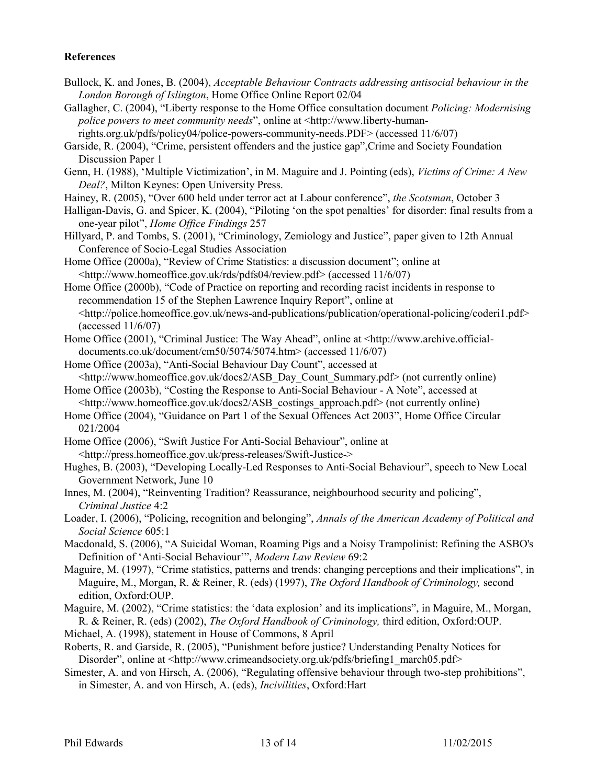#### **References**

- Bullock, K. and Jones, B. (2004), *Acceptable Behaviour Contracts addressing antisocial behaviour in the London Borough of Islington*, Home Office Online Report 02/04
- Gallagher, C. (2004), "Liberty response to the Home Office consultation document *Policing: Modernising police powers to meet community needs*", online at <http://www.liberty-human-
- rights.org.uk/pdfs/policy04/police-powers-community-needs.PDF> (accessed 11/6/07)

Garside, R. (2004), "Crime, persistent offenders and the justice gap",Crime and Society Foundation Discussion Paper 1

- Genn, H. (1988), 'Multiple Victimization', in M. Maguire and J. Pointing (eds), *Victims of Crime: A New Deal?*, Milton Keynes: Open University Press.
- Hainey, R. (2005), "Over 600 held under terror act at Labour conference", *the Scotsman*, October 3
- Halligan-Davis, G. and Spicer, K. (2004), "Piloting 'on the spot penalties' for disorder: final results from a one-year pilot", *Home Office Findings* 257
- Hillyard, P. and Tombs, S. (2001), "Criminology, Zemiology and Justice", paper given to 12th Annual Conference of Socio-Legal Studies Association
- Home Office (2000a), "Review of Crime Statistics: a discussion document"; online at <http://www.homeoffice.gov.uk/rds/pdfs04/review.pdf> (accessed 11/6/07)

Home Office (2000b), "Code of Practice on reporting and recording racist incidents in response to recommendation 15 of the Stephen Lawrence Inquiry Report", online at <http://police.homeoffice.gov.uk/news-and-publications/publication/operational-policing/coderi1.pdf> (accessed 11/6/07)

- Home Office (2001), "Criminal Justice: The Way Ahead", online at <http://www.archive.officialdocuments.co.uk/document/cm50/5074/5074.htm> (accessed 11/6/07)
- Home Office (2003a), "Anti-Social Behaviour Day Count", accessed at  $\langle \text{http://www.homeoffic.gov.uk/docs/ASB Day Count Summary.pdf} \rangle$  (not currently online)
- Home Office (2003b), "Costing the Response to Anti-Social Behaviour A Note", accessed at  $\langle \text{http://www.homeoffice.gov.uk/docs2/ASB} \text{~costings} \text{~approach.pdf} \rangle$  (not currently online)
- Home Office (2004), "Guidance on Part 1 of the Sexual Offences Act 2003", Home Office Circular 021/2004
- Home Office (2006), "Swift Justice For Anti-Social Behaviour", online at <http://press.homeoffice.gov.uk/press-releases/Swift-Justice->
- Hughes, B. (2003), "Developing Locally-Led Responses to Anti-Social Behaviour", speech to New Local Government Network, June 10
- Innes, M. (2004), "Reinventing Tradition? Reassurance, neighbourhood security and policing", *Criminal Justice* 4:2
- Loader, I. (2006), "Policing, recognition and belonging", *Annals of the American Academy of Political and Social Science* 605:1
- Macdonald, S. (2006), "A Suicidal Woman, Roaming Pigs and a Noisy Trampolinist: Refining the ASBO's Definition of 'Anti-Social Behaviour'", *Modern Law Review* 69:2
- Maguire, M. (1997), "Crime statistics, patterns and trends: changing perceptions and their implications", in Maguire, M., Morgan, R. & Reiner, R. (eds) (1997), *The Oxford Handbook of Criminology,* second edition, Oxford:OUP.
- Maguire, M. (2002), "Crime statistics: the 'data explosion' and its implications", in Maguire, M., Morgan, R. & Reiner, R. (eds) (2002), *The Oxford Handbook of Criminology,* third edition, Oxford:OUP.

Michael, A. (1998), statement in House of Commons, 8 April

- Roberts, R. and Garside, R. (2005), "Punishment before justice? Understanding Penalty Notices for Disorder", online at <http://www.crimeandsociety.org.uk/pdfs/briefing1\_march05.pdf>
- Simester, A. and von Hirsch, A. (2006), "Regulating offensive behaviour through two-step prohibitions", in Simester, A. and von Hirsch, A. (eds), *Incivilities*, Oxford:Hart